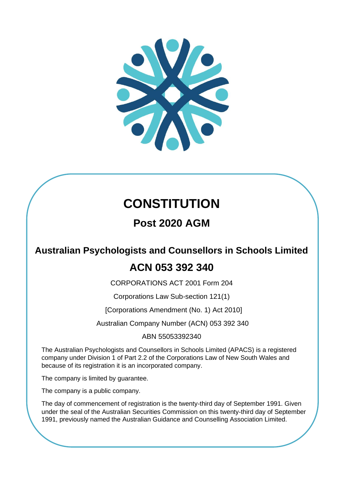

# **CONSTITUTION**

## **Post 2020 AGM**

## **Australian Psychologists and Counsellors in Schools Limited**

## **ACN 053 392 340**

CORPORATIONS ACT 2001 Form 204

Corporations Law Sub-section 121(1)

[Corporations Amendment (No. 1) Act 2010]

Australian Company Number (ACN) 053 392 340

### ABN 55053392340

The Australian Psychologists and Counsellors in Schools Limited (APACS) is a registered company under Division 1 of Part 2.2 of the Corporations Law of New South Wales and because of its registration it is an incorporated company.

The company is limited by guarantee.

The company is a public company.

The day of commencement of registration is the twenty-third day of September 1991. Given under the seal of the Australian Securities Commission on this twenty-third day of September 1991, previously named the Australian Guidance and Counselling Association Limited.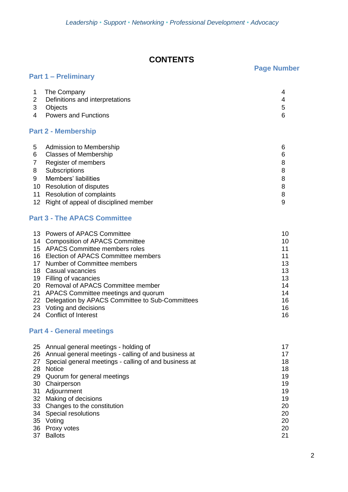## **CONTENTS**

## **Page Number**

| 2<br>3<br>4 | The Company<br>Definitions and interpretations<br>Objects<br><b>Powers and Functions</b> | 4<br>4<br>5<br>6 |
|-------------|------------------------------------------------------------------------------------------|------------------|
|             | <b>Part 2 - Membership</b>                                                               |                  |
| 5           | Admission to Membership                                                                  | 6                |
| 6           | <b>Classes of Membership</b>                                                             | 6                |
|             | Register of members                                                                      | 8                |
| 8           | Subscriptions                                                                            | 8                |
| 9           | Members' liabilities                                                                     | 8                |
|             | $AD = D = L + L = L + L = L + L = L + L = L$                                             | ົ                |

<span id="page-1-3"></span><span id="page-1-2"></span>10 Resolution of disputes 8 11 Resolution of complaints 8 12 Right of appeal of disciplined member 9

### <span id="page-1-4"></span>**Part 3 - The APACS Committee**

**Part 1 – Preliminary**

<span id="page-1-1"></span><span id="page-1-0"></span>

| 13 Powers of APACS Committee                       | 10 |
|----------------------------------------------------|----|
| 14 Composition of APACS Committee                  | 10 |
| 15 APACS Committee members roles                   | 11 |
| 16 Election of APACS Committee members             | 11 |
| 17 Number of Committee members                     | 13 |
| 18 Casual vacancies                                | 13 |
| 19 Filling of vacancies                            | 13 |
| 20 Removal of APACS Committee member               | 14 |
| 21 APACS Committee meetings and quorum             | 14 |
| 22 Delegation by APACS Committee to Sub-Committees | 16 |
| 23 Voting and decisions                            | 16 |
| 24 Conflict of Interest                            | 16 |

## **Part 4 - General meetings**

<span id="page-1-8"></span><span id="page-1-7"></span><span id="page-1-6"></span><span id="page-1-5"></span>

|     | 25 Annual general meetings - holding of               | 17 |
|-----|-------------------------------------------------------|----|
| 26  | Annual general meetings - calling of and business at  | 17 |
| 27  | Special general meetings - calling of and business at | 18 |
| 28  | <b>Notice</b>                                         | 18 |
| 29  | Quorum for general meetings                           | 19 |
| 30  | Chairperson                                           | 19 |
| -31 | Adjournment                                           | 19 |
|     | 32 Making of decisions                                | 19 |
|     | 33 Changes to the constitution                        | 20 |
| 34  | <b>Special resolutions</b>                            | 20 |
| 35  | Voting                                                | 20 |
| 36  | Proxy votes                                           | 20 |
| 37  | <b>Ballots</b>                                        | 21 |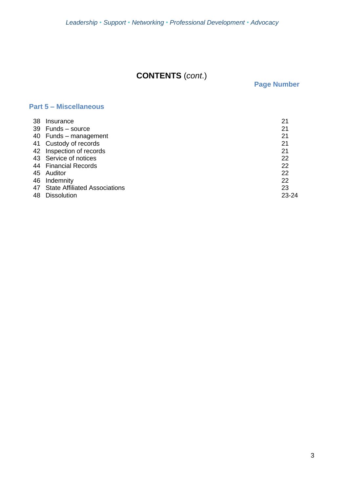## **CONTENTS** (*cont*.)

**Page Number**

## **Part 5 – Miscellaneous**

<span id="page-2-0"></span>

| 38 | Insurance                        | 21    |
|----|----------------------------------|-------|
|    | 39 Funds - source                | 21    |
|    | 40 Funds - management            | 21    |
|    | 41 Custody of records            | 21    |
|    | 42 Inspection of records         | 21    |
|    | 43 Service of notices            | 22    |
|    | 44 Financial Records             | 22    |
|    | 45 Auditor                       | 22    |
|    | 46 Indemnity                     | 22    |
|    | 47 State Affiliated Associations | 23    |
| 48 | <b>Dissolution</b>               | 23-24 |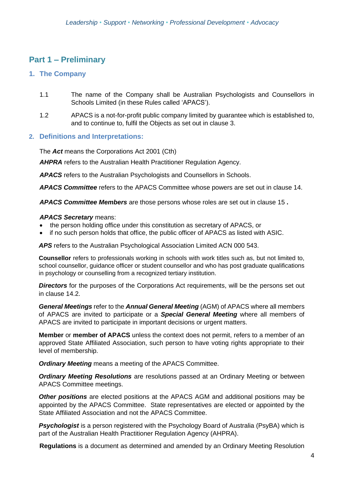## **Part 1 – Preliminary**

#### **1. The Company**

- 1.1 The name of the Company shall be Australian Psychologists and Counsellors in Schools Limited (in these Rules called 'APACS').
- 1.2 APACS is a not-for-profit public company limited by guarantee which is established to, and to continue to, fulfil the Objects as set out in clause 3.

#### **2. Definitions and Interpretations:**

The *Act* means the Corporations Act 2001 (Cth)

*AHPRA* refers to the Australian Health Practitioner Regulation Agency.

*APACS* refers to the Australian Psychologists and Counsellors in Schools.

*APACS Committee* refers to the APACS Committee whose powers are set out in clause [14.](#page-1-0)

*APACS Committee Members* are those persons whose roles are set out in clause [15](#page-1-1) **.**

#### *APACS Secretary* means:

- the person holding office under this constitution as secretary of APACS, or
- if no such person holds that office, the public officer of APACS as listed with ASIC.

*APS* refers to the Australian Psychological Association Limited ACN 000 543.

**Counsellor** refers to professionals working in schools with work titles such as, but not limited to, school counsellor, guidance officer or student counsellor and who has post graduate qualifications in psychology or counselling from a recognized tertiary institution.

**Directors** for the purposes of the Corporations Act requirements, will be the persons set out in clause [14.](#page-1-0)2.

*General Meetings* refer to the *Annual General Meeting* (AGM) of APACS where all members of APACS are invited to participate or a *Special General Meeting* where all members of APACS are invited to participate in important decisions or urgent matters.

**Member** or **member of APACS** unless the context does not permit, refers to a member of an approved State Affiliated Association, such person to have voting rights appropriate to their level of membership.

*Ordinary Meeting* means a meeting of the APACS Committee.

*Ordinary Meeting Resolutions* are resolutions passed at an Ordinary Meeting or between APACS Committee meetings.

*Other positions* are elected positions at the APACS AGM and additional positions may be appointed by the APACS Committee. State representatives are elected or appointed by the State Affiliated Association and not the APACS Committee.

**Psychologist** is a person registered with the Psychology Board of Australia (PsyBA) which is part of the Australian Health Practitioner Regulation Agency (AHPRA).

**Regulations** is a document as determined and amended by an Ordinary Meeting Resolution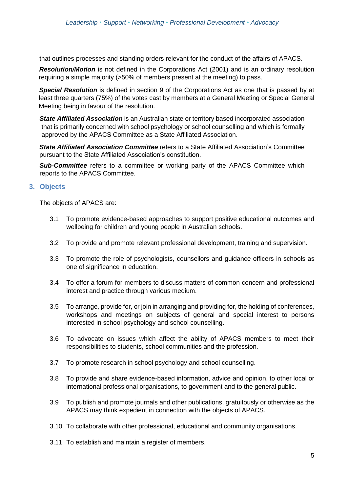that outlines processes and standing orders relevant for the conduct of the affairs of APACS.

*Resolution/Motion* is not defined in the Corporations Act (2001) and is an ordinary resolution requiring a simple majority (>50% of members present at the meeting) to pass.

*Special Resolution* is defined in section 9 of the Corporations Act as one that is passed by at least three quarters (75%) of the votes cast by members at a General Meeting or Special General Meeting being in favour of the resolution.

*State Affiliated Association* is an Australian state or territory based incorporated association that is primarily concerned with school psychology or school counselling and which is formally approved by the APACS Committee as a State Affiliated Association.

*State Affiliated Association Committee* refers to a State Affiliated Association's Committee pursuant to the State Affiliated Association's constitution.

*Sub-Committee* refers to a committee or working party of the APACS Committee which reports to the APACS Committee.

#### **3. Objects**

The objects of APACS are:

- 3.1 To promote evidence-based approaches to support positive educational outcomes and wellbeing for children and young people in Australian schools.
- 3.2 To provide and promote relevant professional development, training and supervision.
- 3.3 To promote the role of psychologists, counsellors and guidance officers in schools as one of significance in education.
- 3.4 To offer a forum for members to discuss matters of common concern and professional interest and practice through various medium.
- 3.5 To arrange, provide for, or join in arranging and providing for, the holding of conferences, workshops and meetings on subjects of general and special interest to persons interested in school psychology and school counselling.
- 3.6 To advocate on issues which affect the ability of APACS members to meet their responsibilities to students, school communities and the profession.
- 3.7 To promote research in school psychology and school counselling.
- 3.8 To provide and share evidence-based information, advice and opinion, to other local or international professional organisations, to government and to the general public.
- 3.9 To publish and promote journals and other publications, gratuitously or otherwise as the APACS may think expedient in connection with the objects of APACS.
- 3.10 To collaborate with other professional, educational and community organisations.
- 3.11 To establish and maintain a register of members.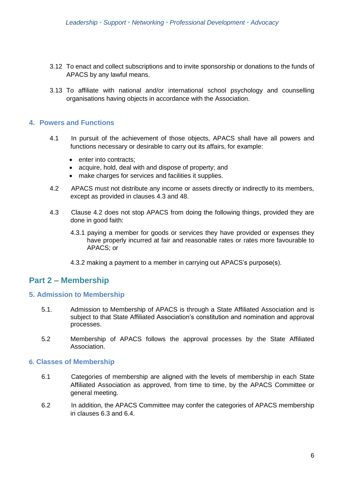- 3.12 To enact and collect subscriptions and to invite sponsorship or donations to the funds of APACS by any lawful means.
- 3.13 To affiliate with national and/or international school psychology and counselling organisations having objects in accordance with the Association.

#### **4. Powers and Functions**

- 4.1 In pursuit of the achievement of those objects, APACS shall have all powers and functions necessary or desirable to carry out its affairs, for example:
	- enter into contracts:
	- acquire, hold, deal with and dispose of property; and
	- make charges for services and facilities it supplies.
- 4.2 APACS must not distribute any income or assets directly or indirectly to its members, except as provided in clauses 4.3 and [48.](#page-2-0)
- 4.3 Clause 4.2 does not stop APACS from doing the following things, provided they are done in good faith:
	- 4.3.1 paying a member for goods or services they have provided or expenses they have properly incurred at fair and reasonable rates or rates more favourable to APACS; or
	- 4.3.2 making a payment to a member in carrying out APACS's purpose(s).

### **Part 2 – Membership**

#### **5. Admission to Membership**

- 5.1. Admission to Membership of APACS is through a State Affiliated Association and is subject to that State Affiliated Association's constitution and nomination and approval processes.
- 5.2 Membership of APACS follows the approval processes by the State Affiliated Association.

#### **6. Classes of Membership**

- 6.1 Categories of membership are aligned with the levels of membership in each State Affiliated Association as approved, from time to time, by the APACS Committee or general meeting.
- 6.2 In addition, the APACS Committee may confer the categories of APACS membership in clauses 6.3 and 6.4.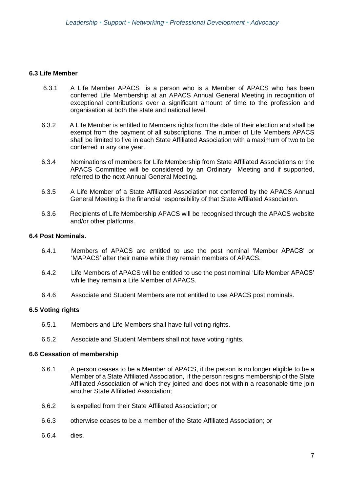#### **6.3 Life Member**

- 6.3.1 A Life Member APACS is a person who is a Member of APACS who has been conferred Life Membership at an APACS Annual General Meeting in recognition of exceptional contributions over a significant amount of time to the profession and organisation at both the state and national level.
- 6.3.2 A Life Member is entitled to Members rights from the date of their election and shall be exempt from the payment of all subscriptions. The number of Life Members APACS shall be limited to five in each State Affiliated Association with a maximum of two to be conferred in any one year.
- 6.3.4 Nominations of members for Life Membership from State Affiliated Associations or the APACS Committee will be considered by an Ordinary Meeting and if supported, referred to the next Annual General Meeting.
- 6.3.5 A Life Member of a State Affiliated Association not conferred by the APACS Annual General Meeting is the financial responsibility of that State Affiliated Association.
- 6.3.6 Recipients of Life Membership APACS will be recognised through the APACS website and/or other platforms.

#### **6.4 Post Nominals.**

- 6.4.1 Members of APACS are entitled to use the post nominal 'Member APACS' or 'MAPACS' after their name while they remain members of APACS.
- 6.4.2 Life Members of APACS will be entitled to use the post nominal 'Life Member APACS' while they remain a Life Member of APACS.
- 6.4.6 Associate and Student Members are not entitled to use APACS post nominals.

#### **6.5 Voting rights**

- 6.5.1 Members and Life Members shall have full voting rights.
- 6.5.2 Associate and Student Members shall not have voting rights.

#### **6.6 Cessation of membership**

- 6.6.1 A person ceases to be a Member of APACS, if the person is no longer eligible to be a Member of a State Affiliated Association, if the person resigns membership of the State Affiliated Association of which they joined and does not within a reasonable time join another State Affiliated Association;
- 6.6.2 is expelled from their State Affiliated Association; or
- 6.6.3 otherwise ceases to be a member of the State Affiliated Association; or
- 6.6.4 dies.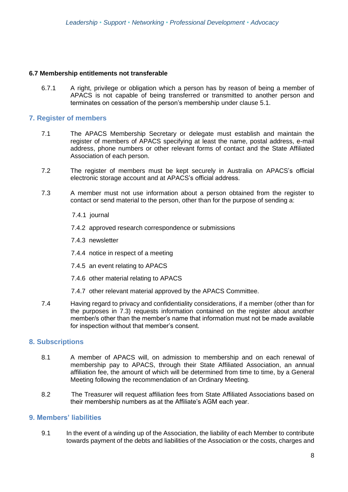#### **6.7 Membership entitlements not transferable**

6.7.1 A right, privilege or obligation which a person has by reason of being a member of APACS is not capable of being transferred or transmitted to another person and terminates on cessation of the person's membership under clause 5.1.

#### **7. Register of members**

- 7.1 The APACS Membership Secretary or delegate must establish and maintain the register of members of APACS specifying at least the name, postal address, e-mail address, phone numbers or other relevant forms of contact and the State Affiliated Association of each person.
- 7.2 The register of members must be kept securely in Australia on APACS's official electronic storage account and at APACS's official address.
- 7.3 A member must not use information about a person obtained from the register to contact or send material to the person, other than for the purpose of sending a:
	- 7.4.1 journal
	- 7.4.2 approved research correspondence or submissions
	- 7.4.3 newsletter
	- 7.4.4 notice in respect of a meeting
	- 7.4.5 an event relating to APACS
	- 7.4.6 other material relating to APACS
	- 7.4.7 other relevant material approved by the APACS Committee.
- 7.4 Having regard to privacy and confidentiality considerations, if a member (other than for the purposes in 7.3) requests information contained on the register about another member/s other than the member's name that information must not be made available for inspection without that member's consent.

#### **8. Subscriptions**

- 8.1 A member of APACS will, on admission to membership and on each renewal of membership pay to APACS, through their State Affiliated Association, an annual affiliation fee, the amount of which will be determined from time to time, by a General Meeting following the recommendation of an Ordinary Meeting.
- 8.2 The Treasurer will request affiliation fees from State Affiliated Associations based on their membership numbers as at the Affiliate's AGM each year.

#### **9. Members' liabilities**

9.1 In the event of a winding up of the Association, the liability of each Member to contribute towards payment of the debts and liabilities of the Association or the costs, charges and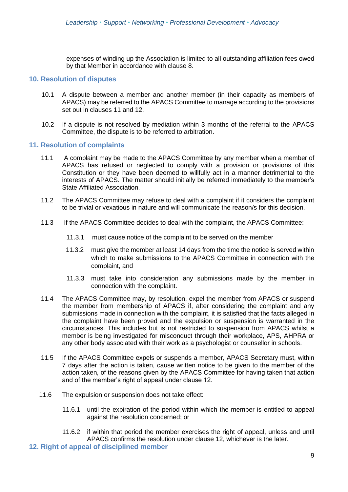expenses of winding up the Association is limited to all outstanding affiliation fees owed by that Member in accordance with clause [8.](#page-1-2)

#### **10. Resolution of disputes**

- 10.1 A dispute between a member and another member (in their capacity as members of APACS) may be referred to the APACS Committee to manage according to the provisions set out in clauses [11](#page-1-3) and [12.](#page-1-4)
- 10.2 If a dispute is not resolved by mediation within 3 months of the referral to the APACS Committee, the dispute is to be referred to arbitration.

#### **11. Resolution of complaints**

- 11.1 A complaint may be made to the APACS Committee by any member when a member of APACS has refused or neglected to comply with a provision or provisions of this Constitution or they have been deemed to willfully act in a manner detrimental to the interests of APACS. The matter should initially be referred immediately to the member's State Affiliated Association.
- 11.2 The APACS Committee may refuse to deal with a complaint if it considers the complaint to be trivial or vexatious in nature and will communicate the reason/s for this decision.
- 11.3 If the APACS Committee decides to deal with the complaint, the APACS Committee:
	- 11.3.1 must cause notice of the complaint to be served on the member
	- 11.3.2 must give the member at least 14 days from the time the notice is served within which to make submissions to the APACS Committee in connection with the complaint, and
	- 11.3.3 must take into consideration any submissions made by the member in connection with the complaint.
- 11.4 The APACS Committee may, by resolution, expel the member from APACS or suspend the member from membership of APACS if, after considering the complaint and any submissions made in connection with the complaint, it is satisfied that the facts alleged in the complaint have been proved and the expulsion or suspension is warranted in the circumstances. This includes but is not restricted to suspension from APACS whilst a member is being investigated for misconduct through their workplace, APS, AHPRA or any other body associated with their work as a psychologist or counsellor in schools.
- 11.5 If the APACS Committee expels or suspends a member, APACS Secretary must, within 7 days after the action is taken, cause written notice to be given to the member of the action taken, of the reasons given by the APACS Committee for having taken that action and of the member's right of appeal under clause 12.
- 11.6 The expulsion or suspension does not take effect:
	- 11.6.1 until the expiration of the period within which the member is entitled to appeal against the resolution concerned; or
	- 11.6.2 if within that period the member exercises the right of appeal, unless and until APACS confirms the resolution under clause 12, whichever is the later.
- **12. Right of appeal of disciplined member**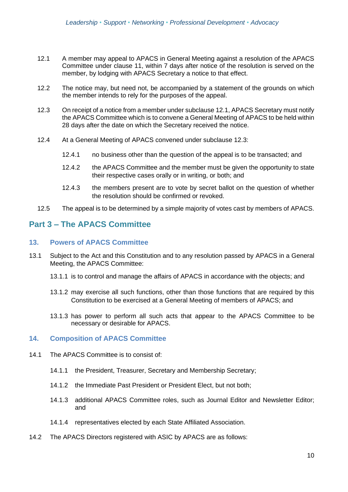- 12.1 A member may appeal to APACS in General Meeting against a resolution of the APACS Committee under clause 11, within 7 days after notice of the resolution is served on the member, by lodging with APACS Secretary a notice to that effect.
- 12.2 The notice may, but need not, be accompanied by a statement of the grounds on which the member intends to rely for the purposes of the appeal.
- 12.3 On receipt of a notice from a member under subclause 12.1, APACS Secretary must notify the APACS Committee which is to convene a General Meeting of APACS to be held within 28 days after the date on which the Secretary received the notice.
- 12.4 At a General Meeting of APACS convened under subclause 12.3:
	- 12.4.1 no business other than the question of the appeal is to be transacted; and
	- 12.4.2 the APACS Committee and the member must be given the opportunity to state their respective cases orally or in writing, or both; and
	- 12.4.3 the members present are to vote by secret ballot on the question of whether the resolution should be confirmed or revoked.
- 12.5 The appeal is to be determined by a simple majority of votes cast by members of APACS.

## **Part 3 – The APACS Committee**

#### **13. Powers of APACS Committee**

- 13.1 Subject to the Act and this Constitution and to any resolution passed by APACS in a General Meeting, the APACS Committee:
	- 13.1.1 is to control and manage the affairs of APACS in accordance with the objects; and
	- 13.1.2 may exercise all such functions, other than those functions that are required by this Constitution to be exercised at a General Meeting of members of APACS; and
	- 13.1.3 has power to perform all such acts that appear to the APACS Committee to be necessary or desirable for APACS.

#### **14. Composition of APACS Committee**

- 14.1 The APACS Committee is to consist of:
	- 14.1.1 the President, Treasurer, Secretary and Membership Secretary;
	- 14.1.2 the Immediate Past President or President Elect, but not both;
	- 14.1.3 additional APACS Committee roles, such as Journal Editor and Newsletter Editor; and
	- 14.1.4 representatives elected by each State Affiliated Association.
- 14.2 The APACS Directors registered with ASIC by APACS are as follows: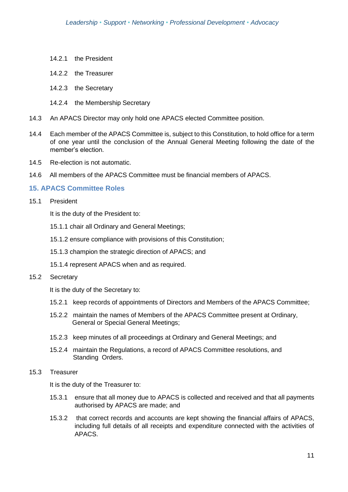- 14.2.1 the President
- 14.2.2 the Treasurer
- 14.2.3 the Secretary
- 14.2.4 the Membership Secretary
- 14.3 An APACS Director may only hold one APACS elected Committee position.
- 14.4 Each member of the APACS Committee is, subject to this Constitution, to hold office for a term of one year until the conclusion of the Annual General Meeting following the date of the member's election.
- 14.5 Re-election is not automatic.
- 14.6 All members of the APACS Committee must be financial members of APACS.

#### **15. APACS Committee Roles**

15.1 President

It is the duty of the President to:

- 15.1.1 chair all Ordinary and General Meetings;
- 15.1.2 ensure compliance with provisions of this Constitution;
- 15.1.3 champion the strategic direction of APACS; and
- 15.1.4 represent APACS when and as required.
- 15.2 Secretary

It is the duty of the Secretary to:

- 15.2.1 keep records of appointments of Directors and Members of the APACS Committee;
- 15.2.2 maintain the names of Members of the APACS Committee present at Ordinary, General or Special General Meetings;
- 15.2.3 keep minutes of all proceedings at Ordinary and General Meetings; and
- 15.2.4 maintain the Regulations, a record of APACS Committee resolutions, and Standing Orders.
- 15.3 Treasurer

It is the duty of the Treasurer to:

- 15.3.1 ensure that all money due to APACS is collected and received and that all payments authorised by APACS are made; and
- 15.3.2 that correct records and accounts are kept showing the financial affairs of APACS, including full details of all receipts and expenditure connected with the activities of APACS.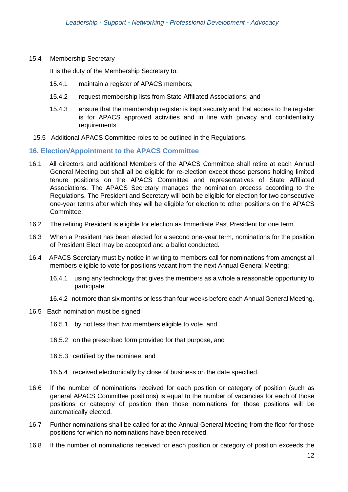15.4 Membership Secretary

It is the duty of the Membership Secretary to:

- 15.4.1 maintain a register of APACS members;
- 15.4.2 request membership lists from State Affiliated Associations; and
- 15.4.3 ensure that the membership register is kept securely and that access to the register is for APACS approved activities and in line with privacy and confidentiality requirements.
- 15.5 Additional APACS Committee roles to be outlined in the Regulations.

#### **16. Election/Appointment to the APACS Committee**

- 16.1 All directors and additional Members of the APACS Committee shall retire at each Annual General Meeting but shall all be eligible for re-election except those persons holding limited tenure positions on the APACS Committee and representatives of State Affiliated Associations. The APACS Secretary manages the nomination process according to the Regulations. The President and Secretary will both be eligible for election for two consecutive one-year terms after which they will be eligible for election to other positions on the APACS Committee.
- 16.2 The retiring President is eligible for election as Immediate Past President for one term.
- 16.3 When a President has been elected for a second one-year term, nominations for the position of President Elect may be accepted and a ballot conducted.
- 16.4 APACS Secretary must by notice in writing to members call for nominations from amongst all members eligible to vote for positions vacant from the next Annual General Meeting:
	- 16.4.1 using any technology that gives the members as a whole a reasonable opportunity to participate.
	- 16.4.2 not more than six months or less than four weeks before each Annual General Meeting.
- 16.5 Each nomination must be signed:
	- 16.5.1 by not less than two members eligible to vote, and
	- 16.5.2 on the prescribed form provided for that purpose, and
	- 16.5.3 certified by the nominee, and
	- 16.5.4 received electronically by close of business on the date specified.
- 16.6 If the number of nominations received for each position or category of position (such as general APACS Committee positions) is equal to the number of vacancies for each of those positions or category of position then those nominations for those positions will be automatically elected.
- 16.7 Further nominations shall be called for at the Annual General Meeting from the floor for those positions for which no nominations have been received.
- 16.8 If the number of nominations received for each position or category of position exceeds the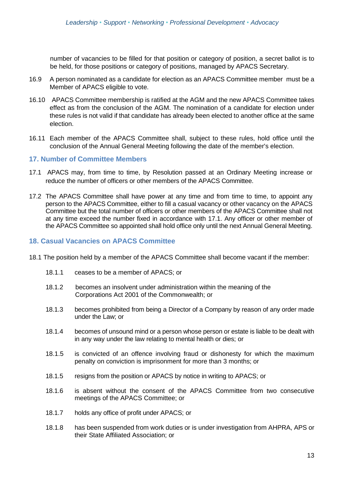number of vacancies to be filled for that position or category of position, a secret ballot is to be held, for those positions or category of positions, managed by APACS Secretary.

- 16.9 A person nominated as a candidate for election as an APACS Committee member must be a Member of APACS eligible to vote.
- 16.10 APACS Committee membership is ratified at the AGM and the new APACS Committee takes effect as from the conclusion of the AGM. The nomination of a candidate for election under these rules is not valid if that candidate has already been elected to another office at the same election.
- 16.11 Each member of the APACS Committee shall, subject to these rules, hold office until the conclusion of the Annual General Meeting following the date of the member's election.

#### **17. Number of Committee Members**

- 17.1 APACS may, from time to time, by Resolution passed at an Ordinary Meeting increase or reduce the number of officers or other members of the APACS Committee.
- 17.2 The APACS Committee shall have power at any time and from time to time, to appoint any person to the APACS Committee, either to fill a casual vacancy or other vacancy on the APACS Committee but the total number of officers or other members of the APACS Committee shall not at any time exceed the number fixed in accordance with 17.1. Any officer or other member of the APACS Committee so appointed shall hold office only until the next Annual General Meeting.

#### **18. Casual Vacancies on APACS Committee**

- 18.1 The position held by a member of the APACS Committee shall become vacant if the member:
	- 18.1.1 ceases to be a member of APACS; or
	- 18.1.2 becomes an insolvent under administration within the meaning of the Corporations Act 2001 of the Commonwealth; or
	- 18.1.3 becomes prohibited from being a Director of a Company by reason of any order made under the Law; or
	- 18.1.4 becomes of unsound mind or a person whose person or estate is liable to be dealt with in any way under the law relating to mental health or dies; or
	- 18.1.5 is convicted of an offence involving fraud or dishonesty for which the maximum penalty on conviction is imprisonment for more than 3 months; or
	- 18.1.5 resigns from the position or APACS by notice in writing to APACS; or
	- 18.1.6 is absent without the consent of the APACS Committee from two consecutive meetings of the APACS Committee; or
	- 18.1.7 holds any office of profit under APACS; or
	- 18.1.8 has been suspended from work duties or is under investigation from AHPRA, APS or their State Affiliated Association; or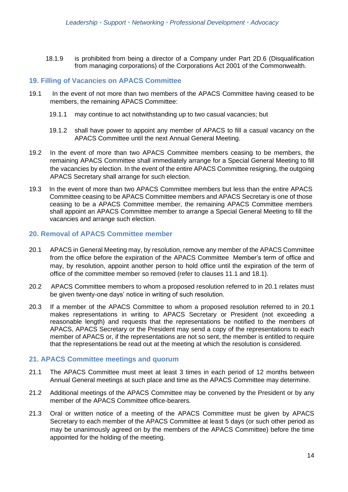18.1.9 is prohibited from being a director of a Company under Part 2D.6 (Disqualification from managing corporations) of the Corporations Act 2001 of the Commonwealth.

#### **19. Filling of Vacancies on APACS Committee**

- 19.1 In the event of not more than two members of the APACS Committee having ceased to be members, the remaining APACS Committee:
	- 19.1.1 may continue to act notwithstanding up to two casual vacancies; but
	- 19.1.2 shall have power to appoint any member of APACS to fill a casual vacancy on the APACS Committee until the next Annual General Meeting.
- 19.2 In the event of more than two APACS Committee members ceasing to be members, the remaining APACS Committee shall immediately arrange for a Special General Meeting to fill the vacancies by election. In the event of the entire APACS Committee resigning, the outgoing APACS Secretary shall arrange for such election.
- 19.3 In the event of more than two APACS Committee members but less than the entire APACS Committee ceasing to be APACS Committee members and APACS Secretary is one of those ceasing to be a APACS Committee member, the remaining APACS Committee members shall appoint an APACS Committee member to arrange a Special General Meeting to fill the vacancies and arrange such election.

#### **20. Removal of APACS Committee member**

- 20.1 APACS in General Meeting may, by resolution, remove any member of the APACS Committee from the office before the expiration of the APACS Committee Member's term of office and may, by resolution, appoint another person to hold office until the expiration of the term of office of the committee member so removed (refer to clauses 11.1 and 18.1).
- 20.2 APACS Committee members to whom a proposed resolution referred to in 20.1 relates must be given twenty-one days' notice in writing of such resolution.
- 20.3 If a member of the APACS Committee to whom a proposed resolution referred to in 20.1 makes representations in writing to APACS Secretary or President (not exceeding a reasonable length) and requests that the representations be notified to the members of APACS, APACS Secretary or the President may send a copy of the representations to each member of APACS or, if the representations are not so sent, the member is entitled to require that the representations be read out at the meeting at which the resolution is considered.

#### **21. APACS Committee meetings and quorum**

- 21.1 The APACS Committee must meet at least 3 times in each period of 12 months between Annual General meetings at such place and time as the APACS Committee may determine.
- 21.2 Additional meetings of the APACS Committee may be convened by the President or by any member of the APACS Committee office-bearers.
- 21.3 Oral or written notice of a meeting of the APACS Committee must be given by APACS Secretary to each member of the APACS Committee at least 5 days (or such other period as may be unanimously agreed on by the members of the APACS Committee) before the time appointed for the holding of the meeting.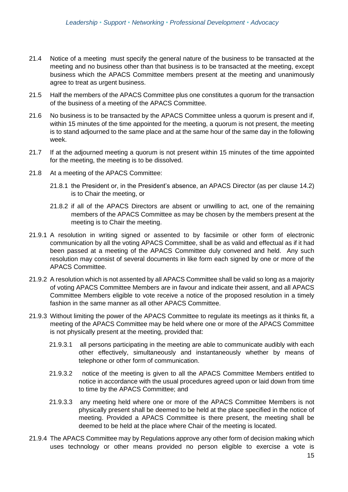- 21.4 Notice of a meeting must specify the general nature of the business to be transacted at the meeting and no business other than that business is to be transacted at the meeting, except business which the APACS Committee members present at the meeting and unanimously agree to treat as urgent business.
- 21.5 Half the members of the APACS Committee plus one constitutes a quorum for the transaction of the business of a meeting of the APACS Committee.
- 21.6 No business is to be transacted by the APACS Committee unless a quorum is present and if, within 15 minutes of the time appointed for the meeting, a quorum is not present, the meeting is to stand adjourned to the same place and at the same hour of the same day in the following week.
- 21.7 If at the adjourned meeting a quorum is not present within 15 minutes of the time appointed for the meeting, the meeting is to be dissolved.
- 21.8 At a meeting of the APACS Committee:
	- 21.8.1 the President or, in the President's absence, an APACS Director (as per clause 14.2) is to Chair the meeting, or
	- 21.8.2 if all of the APACS Directors are absent or unwilling to act, one of the remaining members of the APACS Committee as may be chosen by the members present at the meeting is to Chair the meeting.
- 21.9.1 A resolution in writing signed or assented to by facsimile or other form of electronic communication by all the voting APACS Committee, shall be as valid and effectual as if it had been passed at a meeting of the APACS Committee duly convened and held. Any such resolution may consist of several documents in like form each signed by one or more of the APACS Committee.
- 21.9.2 A resolution which is not assented by all APACS Committee shall be valid so long as a majority of voting APACS Committee Members are in favour and indicate their assent, and all APACS Committee Members eligible to vote receive a notice of the proposed resolution in a timely fashion in the same manner as all other APACS Committee.
- 21.9.3 Without limiting the power of the APACS Committee to regulate its meetings as it thinks fit, a meeting of the APACS Committee may be held where one or more of the APACS Committee is not physically present at the meeting, provided that:
	- 21.9.3.1 all persons participating in the meeting are able to communicate audibly with each other effectively, simultaneously and instantaneously whether by means of telephone or other form of communication.
	- 21.9.3.2 notice of the meeting is given to all the APACS Committee Members entitled to notice in accordance with the usual procedures agreed upon or laid down from time to time by the APACS Committee; and
	- 21.9.3.3 any meeting held where one or more of the APACS Committee Members is not physically present shall be deemed to be held at the place specified in the notice of meeting. Provided a APACS Committee is there present, the meeting shall be deemed to be held at the place where Chair of the meeting is located.
- 21.9.4 The APACS Committee may by Regulations approve any other form of decision making which uses technology or other means provided no person eligible to exercise a vote is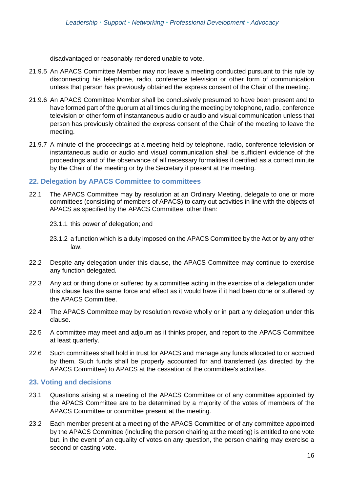disadvantaged or reasonably rendered unable to vote.

- 21.9.5 An APACS Committee Member may not leave a meeting conducted pursuant to this rule by disconnecting his telephone, radio, conference television or other form of communication unless that person has previously obtained the express consent of the Chair of the meeting.
- 21.9.6 An APACS Committee Member shall be conclusively presumed to have been present and to have formed part of the quorum at all times during the meeting by telephone, radio, conference television or other form of instantaneous audio or audio and visual communication unless that person has previously obtained the express consent of the Chair of the meeting to leave the meeting.
- 21.9.7 A minute of the proceedings at a meeting held by telephone, radio, conference television or instantaneous audio or audio and visual communication shall be sufficient evidence of the proceedings and of the observance of all necessary formalities if certified as a correct minute by the Chair of the meeting or by the Secretary if present at the meeting.

#### **22. Delegation by APACS Committee to committees**

- 22.1 The APACS Committee may by resolution at an Ordinary Meeting, delegate to one or more committees (consisting of members of APACS) to carry out activities in line with the objects of APACS as specified by the APACS Committee, other than:
	- 23.1.1 this power of delegation; and
	- 23.1.2 a function which is a duty imposed on the APACS Committee by the Act or by any other law.
- 22.2 Despite any delegation under this clause, the APACS Committee may continue to exercise any function delegated.
- 22.3 Any act or thing done or suffered by a committee acting in the exercise of a delegation under this clause has the same force and effect as it would have if it had been done or suffered by the APACS Committee.
- 22.4 The APACS Committee may by resolution revoke wholly or in part any delegation under this clause.
- 22.5 A committee may meet and adjourn as it thinks proper, and report to the APACS Committee at least quarterly.
- 22.6 Such committees shall hold in trust for APACS and manage any funds allocated to or accrued by them. Such funds shall be properly accounted for and transferred (as directed by the APACS Committee) to APACS at the cessation of the committee's activities.

#### **23. Voting and decisions**

- 23.1 Questions arising at a meeting of the APACS Committee or of any committee appointed by the APACS Committee are to be determined by a majority of the votes of members of the APACS Committee or committee present at the meeting.
- 23.2 Each member present at a meeting of the APACS Committee or of any committee appointed by the APACS Committee (including the person chairing at the meeting) is entitled to one vote but, in the event of an equality of votes on any question, the person chairing may exercise a second or casting vote.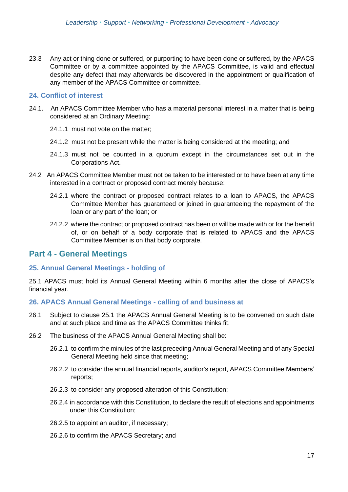23.3 Any act or thing done or suffered, or purporting to have been done or suffered, by the APACS Committee or by a committee appointed by the APACS Committee, is valid and effectual despite any defect that may afterwards be discovered in the appointment or qualification of any member of the APACS Committee or committee.

#### **24. Conflict of interest**

- 24.1. An APACS Committee Member who has a material personal interest in a matter that is being considered at an Ordinary Meeting:
	- 24.1.1 must not vote on the matter;
	- 24.1.2 must not be present while the matter is being considered at the meeting; and
	- 24.1.3 must not be counted in a quorum except in the circumstances set out in the Corporations Act.
- 24.2 An APACS Committee Member must not be taken to be interested or to have been at any time interested in a contract or proposed contract merely because:
	- 24.2.1 where the contract or proposed contract relates to a loan to APACS, the APACS Committee Member has guaranteed or joined in guaranteeing the repayment of the loan or any part of the loan; or
	- 24.2.2 where the contract or proposed contract has been or will be made with or for the benefit of, or on behalf of a body corporate that is related to APACS and the APACS Committee Member is on that body corporate.

## **Part 4 - General Meetings**

#### **25. Annual General Meetings - holding of**

25.1 APACS must hold its Annual General Meeting within 6 months after the close of APACS's financial year.

#### **26. APACS Annual General Meetings - calling of and business at**

- 26.1 Subject to clause [25.](#page-1-5)1 the APACS Annual General Meeting is to be convened on such date and at such place and time as the APACS Committee thinks fit.
- 26.2 The business of the APACS Annual General Meeting shall be:
	- 26.2.1 to confirm the minutes of the last preceding Annual General Meeting and of any Special General Meeting held since that meeting;
	- 26.2.2 to consider the annual financial reports, auditor's report, APACS Committee Members' reports;
	- 26.2.3 to consider any proposed alteration of this Constitution;
	- 26.2.4 in accordance with this Constitution, to declare the result of elections and appointments under this Constitution;
	- 26.2.5 to appoint an auditor, if necessary;
	- 26.2.6 to confirm the APACS Secretary; and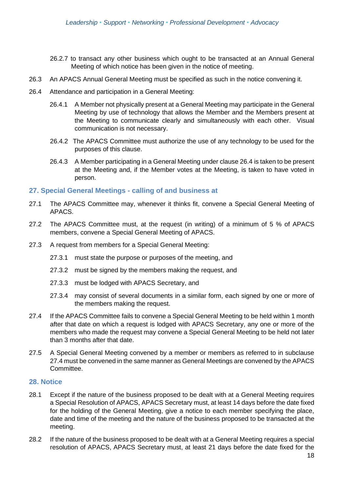- 26.2.7 to transact any other business which ought to be transacted at an Annual General Meeting of which notice has been given in the notice of meeting.
- 26.3 An APACS Annual General Meeting must be specified as such in the notice convening it.
- 26.4 Attendance and participation in a General Meeting:
	- 26.4.1 A Member not physically present at a General Meeting may participate in the General Meeting by use of technology that allows the Member and the Members present at the Meeting to communicate clearly and simultaneously with each other. Visual communication is not necessary.
	- 26.4.2 The APACS Committee must authorize the use of any technology to be used for the purposes of this clause.
	- 26.4.3 A Member participating in a General Meeting under claus[e 26.](#page-1-6)4 is taken to be present at the Meeting and, if the Member votes at the Meeting, is taken to have voted in person.

#### **27. Special General Meetings - calling of and business at**

- 27.1 The APACS Committee may, whenever it thinks fit, convene a Special General Meeting of APACS.
- 27.2 The APACS Committee must, at the request (in writing) of a minimum of 5 % of APACS members, convene a Special General Meeting of APACS.
- 27.3 A request from members for a Special General Meeting:
	- 27.3.1 must state the purpose or purposes of the meeting, and
	- 27.3.2 must be signed by the members making the request, and
	- 27.3.3 must be lodged with APACS Secretary, and
	- 27.3.4 may consist of several documents in a similar form, each signed by one or more of the members making the request.
- 27.4 If the APACS Committee fails to convene a Special General Meeting to be held within 1 month after that date on which a request is lodged with APACS Secretary, any one or more of the members who made the request may convene a Special General Meeting to be held not later than 3 months after that date.
- 27.5 A Special General Meeting convened by a member or members as referred to in subclause [27.](#page-1-7)4 must be convened in the same manner as General Meetings are convened by the APACS Committee.

#### **28. Notice**

- 28.1 Except if the nature of the business proposed to be dealt with at a General Meeting requires a Special Resolution of APACS, APACS Secretary must, at least 14 days before the date fixed for the holding of the General Meeting, give a notice to each member specifying the place, date and time of the meeting and the nature of the business proposed to be transacted at the meeting.
- 28.2 If the nature of the business proposed to be dealt with at a General Meeting requires a special resolution of APACS, APACS Secretary must, at least 21 days before the date fixed for the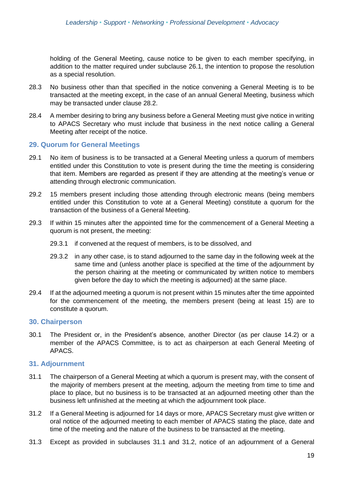holding of the General Meeting, cause notice to be given to each member specifying, in addition to the matter required under subclause 26.1, the intention to propose the resolution as a special resolution.

- 28.3 No business other than that specified in the notice convening a General Meeting is to be transacted at the meeting except, in the case of an annual General Meeting, business which may be transacted under clause [28.](#page-1-8)2.
- 28.4 A member desiring to bring any business before a General Meeting must give notice in writing to APACS Secretary who must include that business in the next notice calling a General Meeting after receipt of the notice.

#### **29. Quorum for General Meetings**

- 29.1 No item of business is to be transacted at a General Meeting unless a quorum of members entitled under this Constitution to vote is present during the time the meeting is considering that item. Members are regarded as present if they are attending at the meeting's venue or attending through electronic communication.
- 29.2 15 members present including those attending through electronic means (being members entitled under this Constitution to vote at a General Meeting) constitute a quorum for the transaction of the business of a General Meeting.
- 29.3 If within 15 minutes after the appointed time for the commencement of a General Meeting a quorum is not present, the meeting:
	- 29.3.1 if convened at the request of members, is to be dissolved, and
	- 29.3.2 in any other case, is to stand adjourned to the same day in the following week at the same time and (unless another place is specified at the time of the adjournment by the person chairing at the meeting or communicated by written notice to members given before the day to which the meeting is adjourned) at the same place.
- 29.4 If at the adjourned meeting a quorum is not present within 15 minutes after the time appointed for the commencement of the meeting, the members present (being at least 15) are to constitute a quorum.

#### **30. Chairperson**

30.1 The President or, in the President's absence, another Director (as per clause 14.2) or a member of the APACS Committee, is to act as chairperson at each General Meeting of APACS.

#### **31. Adjournment**

- 31.1 The chairperson of a General Meeting at which a quorum is present may, with the consent of the majority of members present at the meeting, adjourn the meeting from time to time and place to place, but no business is to be transacted at an adjourned meeting other than the business left unfinished at the meeting at which the adjournment took place.
- 31.2 If a General Meeting is adjourned for 14 days or more, APACS Secretary must give written or oral notice of the adjourned meeting to each member of APACS stating the place, date and time of the meeting and the nature of the business to be transacted at the meeting.
- 31.3 Except as provided in subclauses 31.1 and 31.2, notice of an adjournment of a General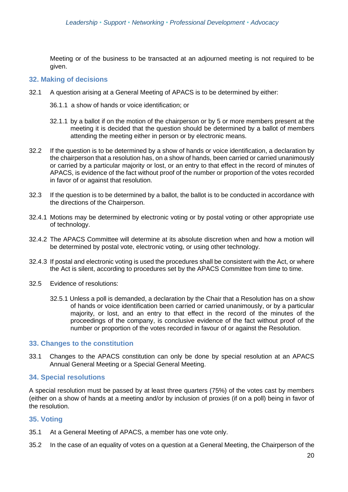Meeting or of the business to be transacted at an adjourned meeting is not required to be given.

#### **32. Making of decisions**

- 32.1 A question arising at a General Meeting of APACS is to be determined by either:
	- 36.1.1 a show of hands or voice identification; or
	- 32.1.1 by a ballot if on the motion of the chairperson or by 5 or more members present at the meeting it is decided that the question should be determined by a ballot of members attending the meeting either in person or by electronic means.
- 32.2 If the question is to be determined by a show of hands or voice identification, a declaration by the chairperson that a resolution has, on a show of hands, been carried or carried unanimously or carried by a particular majority or lost, or an entry to that effect in the record of minutes of APACS, is evidence of the fact without proof of the number or proportion of the votes recorded in favor of or against that resolution.
- 32.3 If the question is to be determined by a ballot, the ballot is to be conducted in accordance with the directions of the Chairperson.
- 32.4.1 Motions may be determined by electronic voting or by postal voting or other appropriate use of technology.
- 32.4.2 The APACS Committee will determine at its absolute discretion when and how a motion will be determined by postal vote, electronic voting, or using other technology.
- 32.4.3 If postal and electronic voting is used the procedures shall be consistent with the Act, or where the Act is silent, according to procedures set by the APACS Committee from time to time.
- 32.5 Evidence of resolutions:
	- 32.5.1 Unless a poll is demanded, a declaration by the Chair that a Resolution has on a show of hands or voice identification been carried or carried unanimously, or by a particular majority, or lost, and an entry to that effect in the record of the minutes of the proceedings of the company, is conclusive evidence of the fact without proof of the number or proportion of the votes recorded in favour of or against the Resolution.

#### **33. Changes to the constitution**

33.1 Changes to the APACS constitution can only be done by special resolution at an APACS Annual General Meeting or a Special General Meeting.

#### **34. Special resolutions**

A special resolution must be passed by at least three quarters (75%) of the votes cast by members (either on a show of hands at a meeting and/or by inclusion of proxies (if on a poll) being in favor of the resolution.

#### **35. Voting**

- 35.1 At a General Meeting of APACS, a member has one vote only.
- 35.2 In the case of an equality of votes on a question at a General Meeting, the Chairperson of the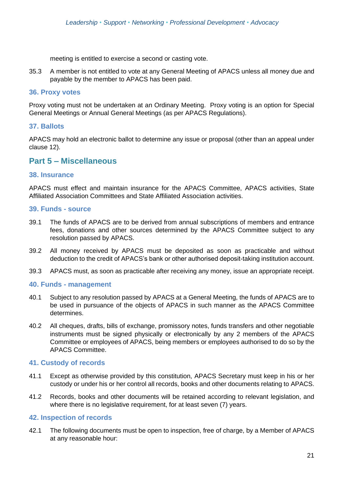meeting is entitled to exercise a second or casting vote.

35.3 A member is not entitled to vote at any General Meeting of APACS unless all money due and payable by the member to APACS has been paid.

#### **36. Proxy votes**

Proxy voting must not be undertaken at an Ordinary Meeting. Proxy voting is an option for Special General Meetings or Annual General Meetings (as per APACS Regulations).

#### **37. Ballots**

APACS may hold an electronic ballot to determine any issue or proposal (other than an appeal under clause 12).

## **Part 5 – Miscellaneous**

#### **38. Insurance**

APACS must effect and maintain insurance for the APACS Committee, APACS activities, State Affiliated Association Committees and State Affiliated Association activities.

#### **39. Funds - source**

- 39.1 The funds of APACS are to be derived from annual subscriptions of members and entrance fees, donations and other sources determined by the APACS Committee subject to any resolution passed by APACS.
- 39.2 All money received by APACS must be deposited as soon as practicable and without deduction to the credit of APACS's bank or other authorised deposit-taking institution account.
- 39.3 APACS must, as soon as practicable after receiving any money, issue an appropriate receipt.

#### **40. Funds - management**

- 40.1 Subject to any resolution passed by APACS at a General Meeting, the funds of APACS are to be used in pursuance of the objects of APACS in such manner as the APACS Committee determines.
- 40.2 All cheques, drafts, bills of exchange, promissory notes, funds transfers and other negotiable instruments must be signed physically or electronically by any 2 members of the APACS Committee or employees of APACS, being members or employees authorised to do so by the APACS Committee.

#### **41. Custody of records**

- 41.1 Except as otherwise provided by this constitution, APACS Secretary must keep in his or her custody or under his or her control all records, books and other documents relating to APACS.
- 41.2 Records, books and other documents will be retained according to relevant legislation, and where there is no legislative requirement, for at least seven (7) years.

#### **42. Inspection of records**

42.1 The following documents must be open to inspection, free of charge, by a Member of APACS at any reasonable hour: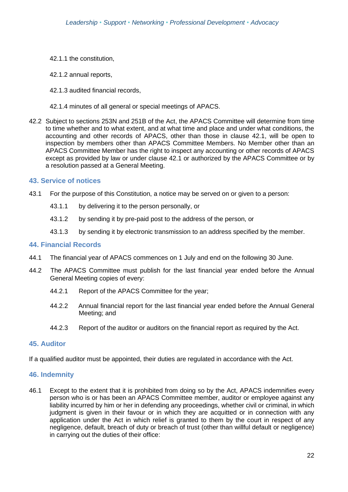- 42.1.1 the constitution,
- 42.1.2 annual reports,
- 42.1.3 audited financial records,
- 42.1.4 minutes of all general or special meetings of APACS.
- 42.2 Subject to sections 253N and 251B of the Act, the APACS Committee will determine from time to time whether and to what extent, and at what time and place and under what conditions, the accounting and other records of APACS, other than those in clause 42.1, will be open to inspection by members other than APACS Committee Members. No Member other than an APACS Committee Member has the right to inspect any accounting or other records of APACS except as provided by law or under clause 42.1 or authorized by the APACS Committee or by a resolution passed at a General Meeting.

#### **43. Service of notices**

- 43.1 For the purpose of this Constitution, a notice may be served on or given to a person:
	- 43.1.1 by delivering it to the person personally, or
	- 43.1.2 by sending it by pre-paid post to the address of the person, or
	- 43.1.3 by sending it by electronic transmission to an address specified by the member.

#### **44. Financial Records**

- 44.1 The financial year of APACS commences on 1 July and end on the following 30 June.
- 44.2 The APACS Committee must publish for the last financial year ended before the Annual General Meeting copies of every:
	- 44.2.1 Report of the APACS Committee for the year;
	- 44.2.2 Annual financial report for the last financial year ended before the Annual General Meeting; and
	- 44.2.3 Report of the auditor or auditors on the financial report as required by the Act.

#### **45. Auditor**

If a qualified auditor must be appointed, their duties are regulated in accordance with the Act.

#### **46. Indemnity**

46.1 Except to the extent that it is prohibited from doing so by the Act, APACS indemnifies every person who is or has been an APACS Committee member, auditor or employee against any liability incurred by him or her in defending any proceedings, whether civil or criminal, in which judgment is given in their favour or in which they are acquitted or in connection with any application under the Act in which relief is granted to them by the court in respect of any negligence, default, breach of duty or breach of trust (other than willful default or negligence) in carrying out the duties of their office: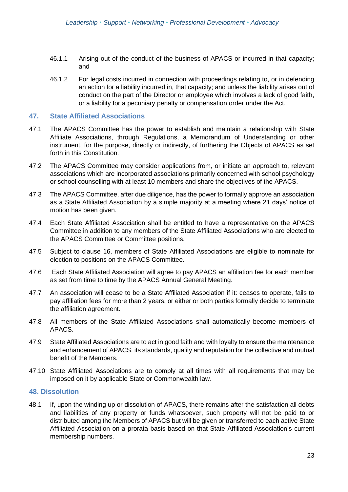- 46.1.1 Arising out of the conduct of the business of APACS or incurred in that capacity; and
- 46.1.2 For legal costs incurred in connection with proceedings relating to, or in defending an action for a liability incurred in, that capacity; and unless the liability arises out of conduct on the part of the Director or employee which involves a lack of good faith, or a liability for a pecuniary penalty or compensation order under the Act.

#### **47. State Affiliated Associations**

- 47.1 The APACS Committee has the power to establish and maintain a relationship with State Affiliate Associations, through Regulations, a Memorandum of Understanding or other instrument, for the purpose, directly or indirectly, of furthering the Objects of APACS as set forth in this Constitution.
- 47.2 The APACS Committee may consider applications from, or initiate an approach to, relevant associations which are incorporated associations primarily concerned with school psychology or school counselling with at least 10 members and share the objectives of the APACS.
- 47.3 The APACS Committee, after due diligence, has the power to formally approve an association as a State Affiliated Association by a simple majority at a meeting where 21 days' notice of motion has been given.
- 47.4 Each State Affiliated Association shall be entitled to have a representative on the APACS Committee in addition to any members of the State Affiliated Associations who are elected to the APACS Committee or Committee positions.
- 47.5 Subject to clause 16, members of State Affiliated Associations are eligible to nominate for election to positions on the APACS Committee.
- 47.6 Each State Affiliated Association will agree to pay APACS an affiliation fee for each member as set from time to time by the APACS Annual General Meeting.
- 47.7 An association will cease to be a State Affiliated Association if it: ceases to operate, fails to pay affiliation fees for more than 2 years, or either or both parties formally decide to terminate the affiliation agreement.
- 47.8 All members of the State Affiliated Associations shall automatically become members of APACS.
- 47.9 State Affiliated Associations are to act in good faith and with loyalty to ensure the maintenance and enhancement of APACS, its standards, quality and reputation for the collective and mutual benefit of the Members.
- 47.10 State Affiliated Associations are to comply at all times with all requirements that may be imposed on it by applicable State or Commonwealth law.

#### **48. Dissolution**

48.1 If, upon the winding up or dissolution of APACS, there remains after the satisfaction all debts and liabilities of any property or funds whatsoever, such property will not be paid to or distributed among the Members of APACS but will be given or transferred to each active State Affiliated Association on a prorata basis based on that State Affiliated Association's current membership numbers.